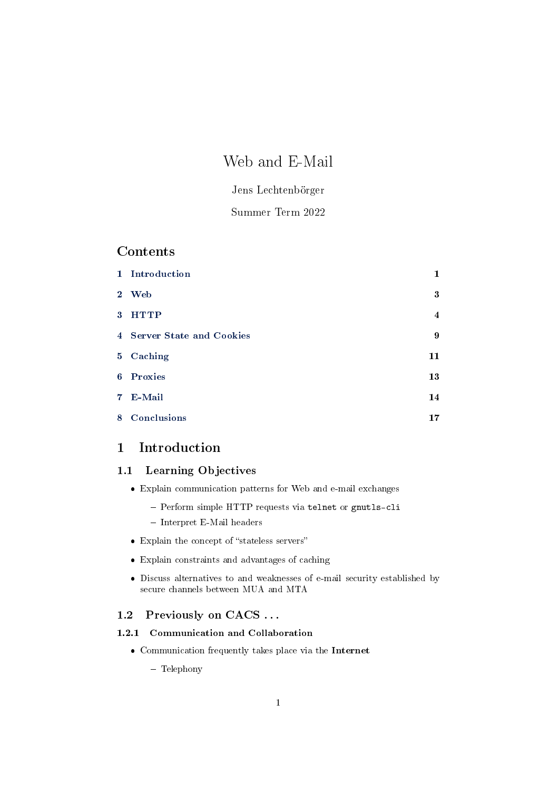# Web and E-Mail

## Jens Lechtenbörger

## Summer Term 2022

## Contents

|                | 1 Introduction             | 1                       |
|----------------|----------------------------|-------------------------|
| 2 <sup>1</sup> | <b>Web</b>                 | $\bf{3}$                |
| 3 <sup>1</sup> | <b>HTTP</b>                | $\overline{\mathbf{4}}$ |
|                | 4 Server State and Cookies | $\boldsymbol{9}$        |
|                | 5 Caching                  | 11                      |
|                | 6 Proxies                  | 13                      |
|                | 7 E-Mail                   | 14                      |
| 8              | Conclusions                | 17                      |

## <span id="page-0-0"></span>1 Introduction

## 1.1 Learning Objectives

- Explain communication patterns for Web and e-mail exchanges
	- Perform simple HTTP requests via telnet or gnutls-cli
	- Interpret E-Mail headers
- $\bullet~$  Explain the concept of "stateless servers"
- Explain constraints and advantages of caching
- Discuss alternatives to and weaknesses of e-mail security established by secure channels between MUA and MTA

## 1.2 Previously on CACS . . .

## 1.2.1 Communication and Collaboration

Communication frequently takes place via the Internet

- Telephony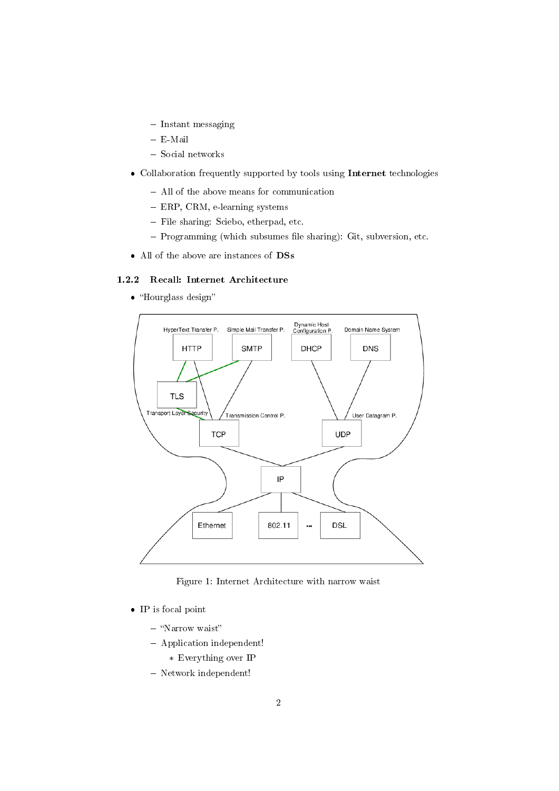- $-$  Instant messaging
- E-Mail
- Social networks
- Collaboration frequently supported by tools using Internet technologies
	- All of the above means for communication
	- ERP, CRM, e-learning systems
	- File sharing: Sciebo, etherpad, etc.
	- Programming (which subsumes file sharing): Git, subversion, etc.
- All of the above are instances of DSs

## 1.2.2 Recall: Internet Architecture

• "Hourglass design"



Figure 1: Internet Architecture with narrow waist

- IP is focal point
	- "Narrow waist"
	- Application independent!
		- \* Everything over IP
	- Network independent!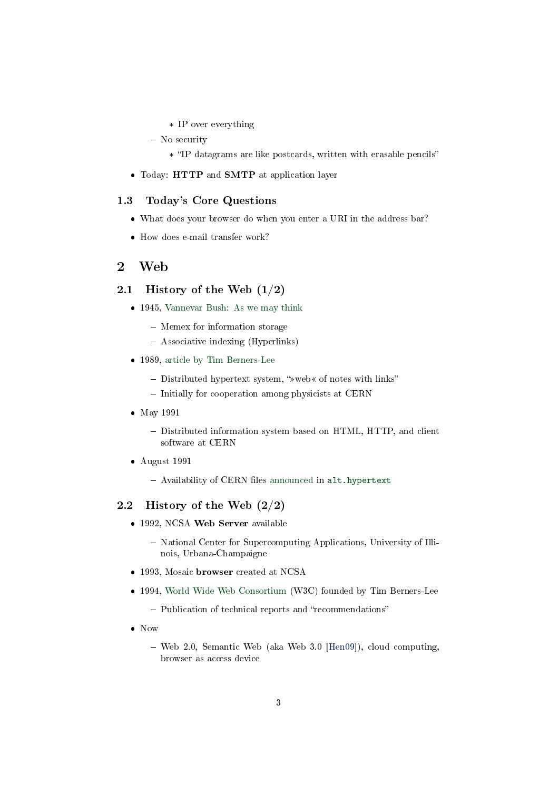- \* IP over everything
- No security
	- \* IP datagrams are like postcards, written with erasable pencils
- Today: HTTP and SMTP at application layer

#### 1.3 Today's Core Questions

- What does your browser do when you enter a URI in the address bar?
- How does e-mail transfer work?

## <span id="page-2-0"></span>2 Web

#### 2.1 History of the Web  $(1/2)$

- 1945, [Vannevar Bush: As we may think](https://www.theatlantic.com/magazine/archive/1945/07/as-we-may-think/303881/)
	- Memex for information storage
	- Associative indexing (Hyperlinks)
- 1989, [article by Tim Berners-Lee](https://www.w3.org/History/1989/proposal.html)
	- $-$  Distributed hypertext system, " $\infty$  web  $\infty$  of notes with links"
	- Initially for cooperation among physicists at CERN
- May 1991
	- Distributed information system based on HTML, HTTP, and client software at CERN
- August 1991
	- Availability of CERN files [announced](https://www.w3.org/People/Berners-Lee/1991/08/art-6484.txt) in <alt.hypertext>

#### 2.2 History of the Web (2/2)

- 1992, NCSA Web Server available
	- National Center for Supercomputing Applications, University of Illinois, Urbana-Champaigne
- 1993, Mosaic browser created at NCSA
- 1994, [World Wide Web Consortium](https://www.w3.org/) (W3C) founded by Tim Berners-Lee
	- Publication of technical reports and "recommendations"
- Now
	- Web 2.0, Semantic Web (aka Web 3.0 [\[Hen09\]](#page-16-1)), cloud computing, browser as access device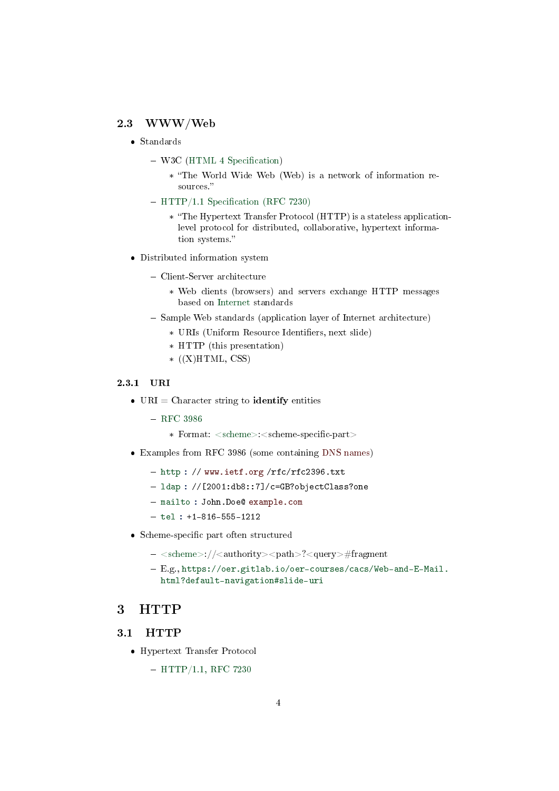#### 2.3 WWW/Web

- Standards
	- $-$  W3C (HTML 4 Specification)
		- \* The World Wide Web (Web) is a network of information resources.
	- $-$  HTTP/1.1 Specification (RFC 7230)
		- \* The Hypertext Transfer Protocol (HTTP) is a stateless applicationlevel protocol for distributed, collaborative, hypertext information systems.
- Distributed information system
	- Client-Server architecture
		- \* Web clients (browsers) and servers exchange HTTP messages based on [Internet](https://oer.gitlab.io/oer-courses/cacs/Internet.html) standards
	- Sample Web standards (application layer of Internet architecture)
		- \* URIs (Uniform Resource Identifiers, next slide)
		- \* HTTP (this presentation)
		- $*(X)HTML, CSS)$

#### 2.3.1 URI

- $\bullet$  URI = Character string to **identify** entities
	- $-$  [RFC 3986](https://datatracker.ietf.org/doc/html/rfc3986)
		- \* Format: <scheme>:<scheme-specific-part>
- Examples from RFC 3986 (some containing DNS names)
	- http://www.ietf.org/rfc/rfc2396.txt
	- $-$  ldap :  $//$ [2001:db8::7]/c=GB?objectClass?one
	- mailto : John.Doe@ example.com
	- $-$  tel : +1-816-555-1212
- Scheme-specific part often structured
	- $-$  <scheme>://<authority><path>?<query>#fragment
	- E.g., [https://oer.gitlab.io/oer-courses/cacs/Web-and-E-Mail](https://oer.gitlab.io/oer-courses/cacs/Web-and-E-Mail.html?default-navigation#slide-uri). [html?default-navigation#slide-uri](https://oer.gitlab.io/oer-courses/cacs/Web-and-E-Mail.html?default-navigation#slide-uri)

## <span id="page-3-0"></span>3 HTTP

#### 3.1 HTTP

Hypertext Transfer Protocol

 $-$  [HTTP/1.1, RFC 7230](https://tools.ietf.org/html/rfc7230)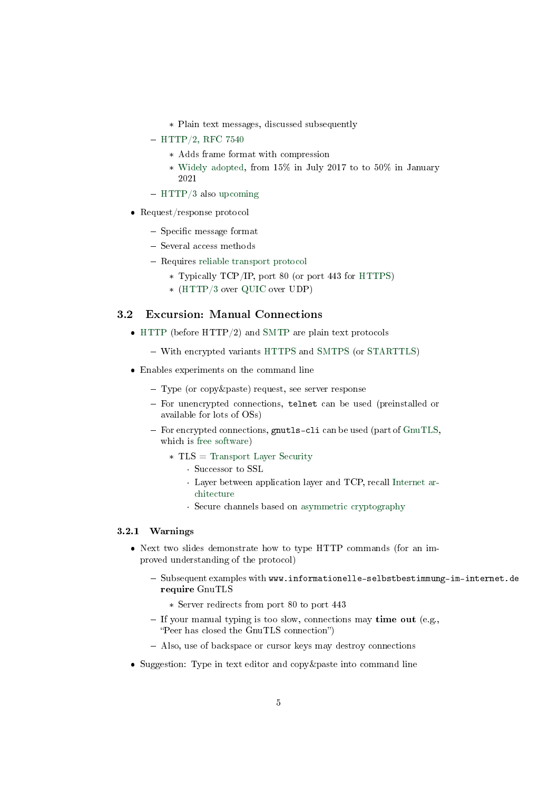- \* Plain text messages, discussed subsequently
- $-$  [HTTP/2, RFC 7540](https://tools.ietf.org/html/rfc7540)
	- \* Adds frame format with compression
	- \* [Widely adopted,](https://w3techs.com/technologies/details/ce-http2) from 15% in July 2017 to to 50% in January 2021
- $-$  [HTTP/3](https://en.wikipedia.org/wiki/HTTP/3) also [upcoming](https://w3techs.com/technologies/details/ce-http3)
- Request/response protocol
	- $-$  Specific message format
	- Several access methods
	- Requires [reliable transport protocol](https://oer.gitlab.io/oer-courses/cacs/Internet.html#slide-ip-udp-tcp)
		- \* Typically TCP/IP, port 80 (or port 443 for [HTTPS\)](https://en.wikipedia.org/wiki/HTTPS)
		- \* [\(HTTP/3](https://http3-explained.haxx.se/en/) over [QUIC](https://en.wikipedia.org/wiki/QUIC) over UDP)

## 3.2 Excursion: Manual Connections

- [HTTP](https://en.wikipedia.org/wiki/Hypertext_Transfer_Protocol) (before HTTP/2) and [SMTP](https://en.wikipedia.org/wiki/Simple_Mail_Transfer_Protocol) are plain text protocols
	- With encrypted variants [HTTPS](https://en.wikipedia.org/wiki/HTTPS) and [SMTPS](https://en.wikipedia.org/wiki/SMTPS) (or [STARTTLS\)](https://en.wikipedia.org/wiki/STARTTLS)
- Enables experiments on the command line
	- Type (or copy&paste) request, see server response
	- For unencrypted connections, telnet can be used (preinstalled or available for lots of OSs)
	- $-$  For encrypted connections, gnutls-cli can be used (part of  $G\text{nuTLS}$ , which is [free software\)](https://oer.gitlab.io/OS/Operating-Systems-Motivation.html#slide-free-software)
		- \* TLS = [Transport Layer Security](https://en.wikipedia.org/wiki/Transport_Layer_Security)
			- · Successor to SSL
			- · Layer between application layer and TCP, recall [Internet ar](https://oer.gitlab.io/oer-courses/cacs/Internet.html#slide-internet-architecture)[chitecture](https://oer.gitlab.io/oer-courses/cacs/Internet.html#slide-internet-architecture)
			- · Secure channels based on [asymmetric cryptography](https://oer.gitlab.io/oer-courses/cacs/Internet.html#slide-drawing-hybrid-enc)

#### 3.2.1 Warnings

- Next two slides demonstrate how to type HTTP commands (for an improved understanding of the protocol)
	- Subsequent examples with www.informationelle-selbstbestimmung-im-internet.de require GnuTLS
		- \* Server redirects from port 80 to port 443
	- If your manual typing is too slow, connections may time out (e.g., "Peer has closed the GnuTLS connection")
	- Also, use of backspace or cursor keys may destroy connections
- Suggestion: Type in text editor and copy&paste into command line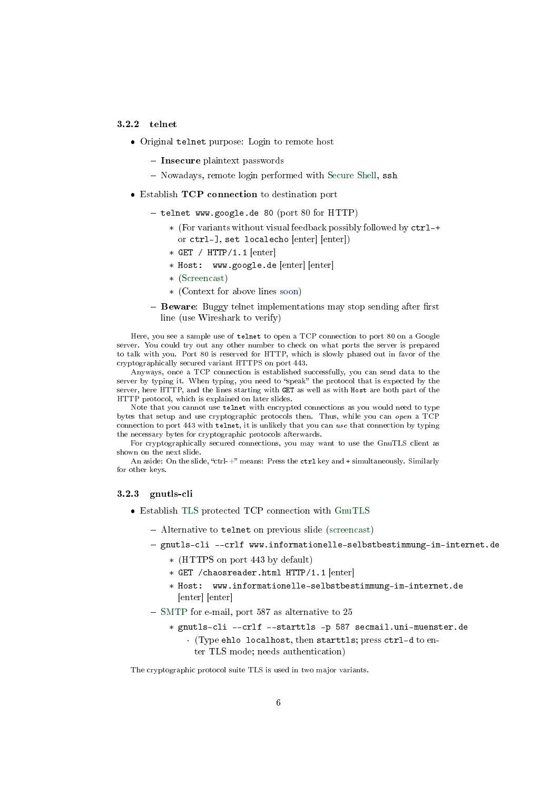#### 3.2.2 telnet

- Original telnet purpose: Login to remote host
	- $\overline{\phantom{a}}$  Insecure plaintext passwords
	- Nowadays, remote login performed with [Secure Shell,](https://en.wikipedia.org/wiki/Secure_Shell) ssh
- Establish TCP connection to destination port
	- $-$  telnet www.google.de 80 (port 80 for HTTP)
		- \* (For variants without visual feedback possibly followed by ctrl-+ or ctrl-], set localecho [enter] [enter])
		- $*$  GET / HTTP/1.1  $[$ enter $]$
		- \* Host: www.google.de [enter] [enter]
		- \* [\(Screencast\)](https://gitlab.com/oer/figures/-/raw/master/DS/http-telnet.gif)
		- \* (Context for above lines [soon\)](#page-6-0)
	- Beware: Buggy telnet implementations may stop sending after first line (use Wireshark to verify)

Here, you see a sample use of telnet to open a TCP connection to port 80 on a Google server. You could try out any other number to check on what ports the server is prepared to talk with you. Port 80 is reserved for HTTP, which is slowly phased out in favor of the cryptographically secured variant HTTPS on port 443.

Anyways, once a TCP connection is established successfully, you can send data to the server by typing it. When typing, you need to "speak" the protocol that is expected by the server, here HTTP, and the lines starting with GET as well as with Host are both part of the HTTP protocol, which is explained on later slides.

Note that you cannot use telnet with encrypted connections as you would need to type bytes that setup and use cryptographic protocols then. Thus, while you can open a TCP connection to port 443 with telnet, it is unlikely that you can use that connection by typing the necessary bytes for cryptographic protocols afterwards.

For cryptographically secured connections, you may want to use the GnuTLS client as shown on the next slide.

An aside: On the slide, "ctrl-+" means: Press the ctrl key and + simultaneously. Similarly for other keys.

#### 3.2.3 gnutls-cli

- Establish [TLS](https://en.wikipedia.org/wiki/Transport_Layer_Security) protected TCP connection with [GnuTLS](https://www.gnutls.org/)
	- Alternative to telnet on previous slide [\(screencast\)](https://gitlab.com/oer/figures/-/raw/master/DS/http-gnutls-cli.gif)
	- gnutls-cli --crlf www.informationelle-selbstbestimmung-im-internet.de
		- \* (HTTPS on port 443 by default)
		- \* GET /chaosreader.html HTTP/1.1 [enter]
		- \* Host: www.informationelle-selbstbestimmung-im-internet.de [enter] [enter]
	- [SMTP](https://oer.gitlab.io/oer-courses/cacs/Web-and-E-Mail.html#slide-smtp) for e-mail, port 587 as alternative to 25
		- \* gnutls-cli --crlf --starttls -p 587 secmail.uni-muenster.de · (Type ehlo localhost, then starttls; press ctrl-d to enter TLS mode; needs authentication)

The cryptographic protocol suite TLS is used in two major variants.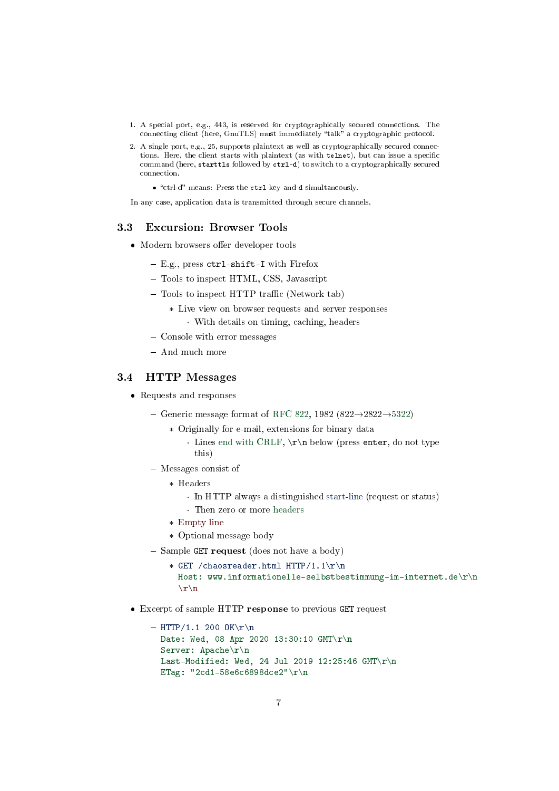- 1. A special port, e.g., 443, is reserved for cryptographically secured connections. The connecting client (here, GnuTLS) must immediately "talk" a cryptographic protocol.
- 2. A single port, e.g., 25, supports plaintext as well as cryptographically secured connections. Here, the client starts with plaintext (as with telnet), but can issue a specific command (here, starttls followed by ctrl-d) to switch to a cryptographically secured connection.
	- "ctrl-d" means: Press the ctrl key and d simultaneously.

In any case, application data is transmitted through secure channels.

#### 3.3 Excursion: Browser Tools

- Modern browsers offer developer tools
	- E.g., press ctrl-shift-I with Firefox
	- Tools to inspect HTML, CSS, Javascript
	- $-$  Tools to inspect HTTP traffic (Network tab)
		- \* Live view on browser requests and server responses · With details on timing, caching, headers
	- Console with error messages
	- $-$  And much more

#### <span id="page-6-0"></span>3.4 HTTP Messages

- Requests and responses
	- Generic message format of [RFC 822,](https://tools.ietf.org/html/rfc822) 1982 (822 $\rightarrow$ 2822 $\rightarrow$ [5322\)](https://tools.ietf.org/html/rfc5322)
		- \* Originally for e-mail, extensions for binary data
			- · Lines [end with CRLF,](https://en.wikipedia.org/wiki/Newline)  $\r \n \begin{bmatrix} \n \end{bmatrix}$  below (press enter, do not type this)
	- Messages consist of
		- \* Headers
			- · In HTTP always a distinguished start-line (request or status)
			- · Then zero or more headers
		- \* Empty line
		- \* Optional message body
	- $-$  Sample GET request (does not have a body)
		- \* GET /chaosreader.html HTTP/1.1\r\n Host: www.informationelle-selbstbestimmung-im-internet.de\r\n  $\ln$
- Excerpt of sample HTTP response to previous GET request

```
- HTTP/1.1 200 OK\r\n
 Date: Wed, 08 Apr 2020 13:30:10 GMT\r\n
 Server: Apache\r\n
 Last-Modified: Wed, 24 Jul 2019 12:25:46 GMT\r\n
 ETag: "2cd1-58e6c6898dce2"\r\n
```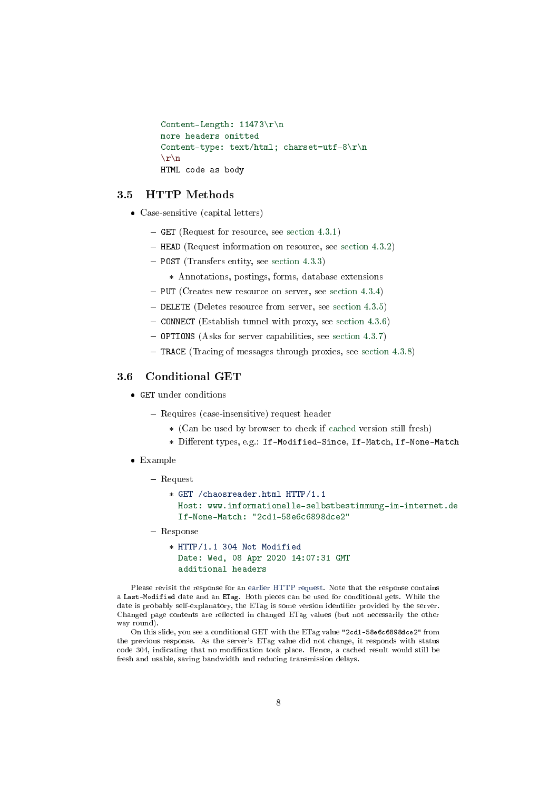```
Content-Length: 11473\r\n
more headers omitted
Content-type: text/html; charset=utf-8\r\n
\r \n\lnHTML code as body
```
#### 3.5 HTTP Methods

- Case-sensitive (capital letters)
	- GET (Request for resource, see [section 4.3.1\)](https://tools.ietf.org/html/rfc7231#section-4.3.1)
	- $-$  HEAD (Request information on resource, see [section 4.3.2\)](https://tools.ietf.org/html/rfc7231#section-4.3.2)
	- POST (Transfers entity, see [section 4.3.3\)](https://tools.ietf.org/html/rfc7231#section-4.3.3)
		- \* Annotations, postings, forms, database extensions
	- $-$  PUT (Creates new resource on server, see [section 4.3.4\)](https://tools.ietf.org/html/rfc7231#section-4.3.4)
	- DELETE (Deletes resource from server, see [section 4.3.5\)](https://tools.ietf.org/html/rfc7231#section-4.3.5)
	- CONNECT (Establish tunnel with proxy, see [section 4.3.6\)](https://tools.ietf.org/html/rfc7231#section-4.3.6)
	- OPTIONS (Asks for server capabilities, see [section 4.3.7\)](https://tools.ietf.org/html/rfc7231#section-4.3.7)
	- TRACE (Tracing of messages through proxies, see [section 4.3.8\)](https://tools.ietf.org/html/rfc7231#section-4.3.8)

#### <span id="page-7-0"></span>3.6 Conditional GET

- GET under conditions
	- Requires (case-insensitive) request header
		- \* (Can be used by browser to check if [cached](https://oer.gitlab.io/oer-courses/cacs/Web-and-E-Mail.html#slide-http-caching) version still fresh)
		- \* Different types, e.g.: If-Modified-Since, If-Match, If-None-Match
- Example
	- Request
		- \* GET /chaosreader.html HTTP/1.1 Host: www.informationelle-selbstbestimmung-im-internet.de If-None-Match: "2cd1-58e6c6898dce2"
	- Response
		- \* HTTP/1.1 304 Not Modified Date: Wed, 08 Apr 2020 14:07:31 GMT additional headers

Please revisit the response for an [earlier HTTP request.](#page-6-0) Note that the response contains a Last-Modified date and an ETag. Both pieces can be used for conditional gets. While the date is probably self-explanatory, the ETag is some version identifier provided by the server. Changed page contents are reflected in changed ETag values (but not necessarily the other way round).

On this slide, you see a conditional GET with the ETag value "2cd1-58e6c6898dce2" from the previous response. As the server's ETag value did not change, it responds with status code 304, indicating that no modification took place. Hence, a cached result would still be fresh and usable, saving bandwidth and reducing transmission delays.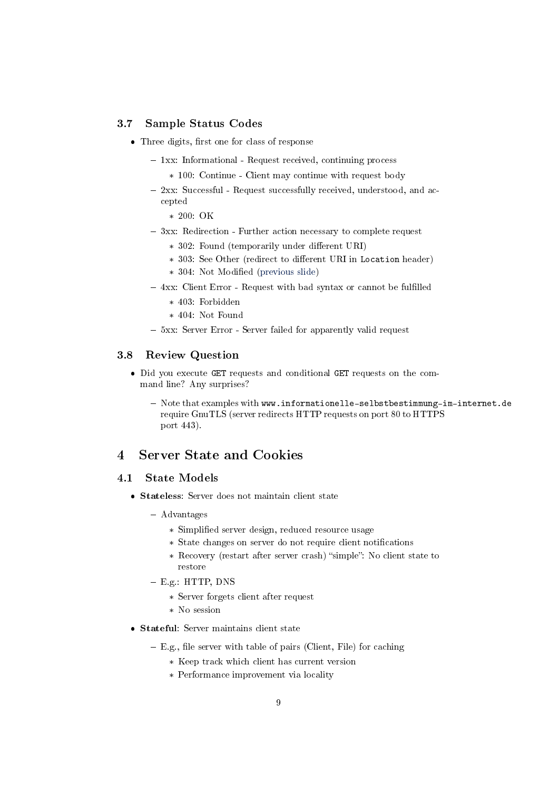## 3.7 Sample Status Codes

- $\bullet$  Three digits, first one for class of response
	- 1xx: Informational Request received, continuing process
		- \* 100: Continue Client may continue with request body
	- 2xx: Successful Request successfully received, understood, and accepted
		- \* 200: OK
	- 3xx: Redirection Further action necessary to complete request
		- \* 302: Found (temporarily under different URI)
		- \* 303: See Other (redirect to different URI in Location header)
		- \* 304: Not Modied [\(previous slide\)](#page-7-0)
	- 4xx: Client Error Request with bad syntax or cannot be fulfilled
		- \* 403: Forbidden
		- \* 404: Not Found
	- 5xx: Server Error Server failed for apparently valid request

#### 3.8 Review Question

- Did you execute GET requests and conditional GET requests on the command line? Any surprises?
	- Note that examples with www.informationelle-selbstbestimmung-im-internet.de require GnuTLS (server redirects HTTP requests on port 80 to HTTPS port 443).

## <span id="page-8-0"></span>4 Server State and Cookies

#### 4.1 State Models

- Stateless: Server does not maintain client state
	- Advantages
		- \* Simplied server design, reduced resource usage
		- \* State changes on server do not require client notifications
		- \* Recovery (restart after server crash) "simple": No client state to restore
	- E.g.: HTTP, DNS
		- \* Server forgets client after request
		- \* No session
- Stateful: Server maintains client state
	- $E.g.,$  file server with table of pairs (Client, File) for caching
		- \* Keep track which client has current version
		- \* Performance improvement via locality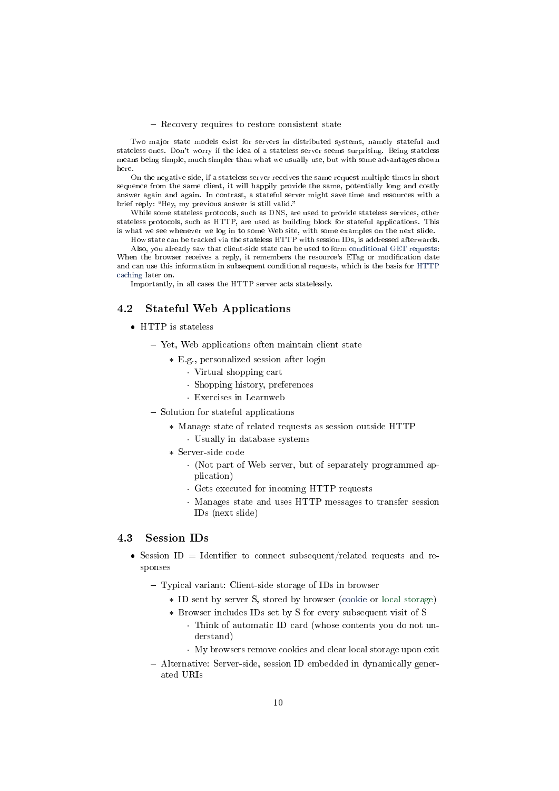#### - Recovery requires to restore consistent state

Two major state models exist for servers in distributed systems, namely stateful and stateless ones. Don't worry if the idea of a stateless server seems surprising. Being stateless means being simple, much simpler than what we usually use, but with some advantages shown here.

On the negative side, if a stateless server receives the same request multiple times in short sequence from the same client, it will happily provide the same, potentially long and costly answer again and again. In contrast, a stateful server might save time and resources with a brief reply: "Hey, my previous answer is still valid."

While some stateless protocols, such as DNS, are used to provide stateless services, other stateless protocols, such as HTTP, are used as building block for stateful applications. This is what we see whenever we log in to some Web site, with some examples on the next slide.

How state can be tracked via the stateless HTTP with session IDs, is addressed afterwards. Also, you already saw that client-side state can be used to form [conditional GET requests:](#page-7-0) When the browser receives a reply, it remembers the resource's ETag or modification date and can use this information in subsequent conditional requests, which is the basis for [HTTP](#page-10-1) [caching](#page-10-1) later on.

Importantly, in all cases the HTTP server acts statelessly.

#### 4.2 Stateful Web Applications

- HTTP is stateless
	- Yet, Web applications often maintain client state
		- \* E.g., personalized session after login
			- · Virtual shopping cart
			- · Shopping history, preferences
			- · Exercises in Learnweb
	- $-$  Solution for stateful applications
		- \* Manage state of related requests as session outside HTTP
			- · Usually in database systems
		- \* Server-side code
			- · (Not part of Web server, but of separately programmed application)
			- · Gets executed for incoming HTTP requests
			- · Manages state and uses HTTP messages to transfer session IDs (next slide)

#### 4.3 Session IDs

- Session ID = Identifier to connect subsequent/related requests and responses
	- Typical variant: Client-side storage of IDs in browser
		- \* ID sent by server S, stored by browser [\(cookie](#page-10-2) or [local storage\)](https://developer.mozilla.org/en-US/docs/Web/API/Window/localStorage)
		- \* Browser includes IDs set by S for every subsequent visit of S
			- · Think of automatic ID card (whose contents you do not understand)
			- · My browsers remove cookies and clear local storage upon exit
	- Alternative: Server-side, session ID embedded in dynamically generated URIs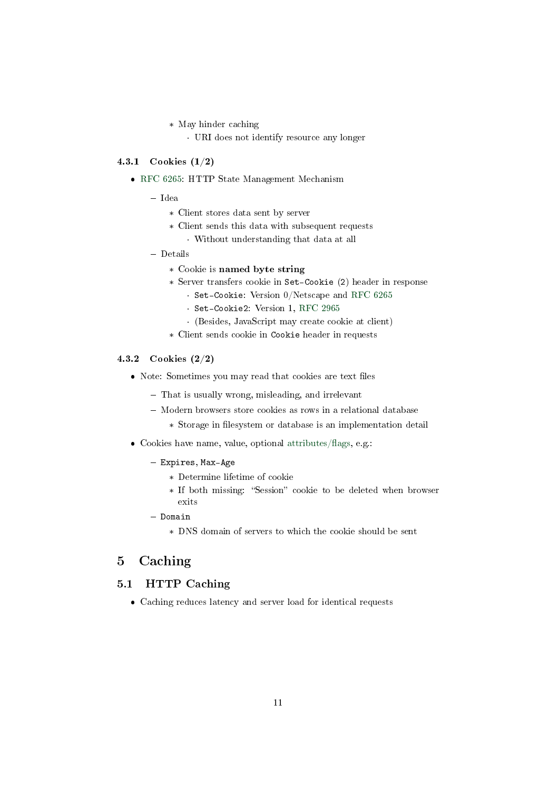- \* May hinder caching
	- · URI does not identify resource any longer

#### <span id="page-10-2"></span>4.3.1 Cookies (1/2)

- [RFC 6265:](https://tools.ietf.org/html/rfc6265) HTTP State Management Mechanism
	- Idea
		- \* Client stores data sent by server
		- \* Client sends this data with subsequent requests
			- · Without understanding that data at all
	- Details
		- \* Cookie is named byte string
		- \* Server transfers cookie in Set-Cookie (2) header in response
			- · Set-Cookie: Version 0/Netscape and [RFC 6265](https://tools.ietf.org/html/rfc6265)
			- · Set-Cookie2: Version 1, [RFC 2965](https://tools.ietf.org/html/rfc2965)
			- · (Besides, JavaScript may create cookie at client)
		- \* Client sends cookie in Cookie header in requests

#### 4.3.2 Cookies (2/2)

- Note: Sometimes you may read that cookies are text files
	- That is usually wrong, misleading, and irrelevant
	- Modern browsers store cookies as rows in a relational database
		- $\ast\,$  Storage in filesystem or database is an implementation detail
- $\bullet$  Cookies have name, value, optional attributes/flags, e.g.:
	- Expires, Max-Age
		- \* Determine lifetime of cookie
		- \* If both missing: "Session" cookie to be deleted when browser exits
	- $-$  Domain
		- \* DNS domain of servers to which the cookie should be sent

## <span id="page-10-0"></span>5 Caching

## <span id="page-10-1"></span>5.1 HTTP Caching

Caching reduces latency and server load for identical requests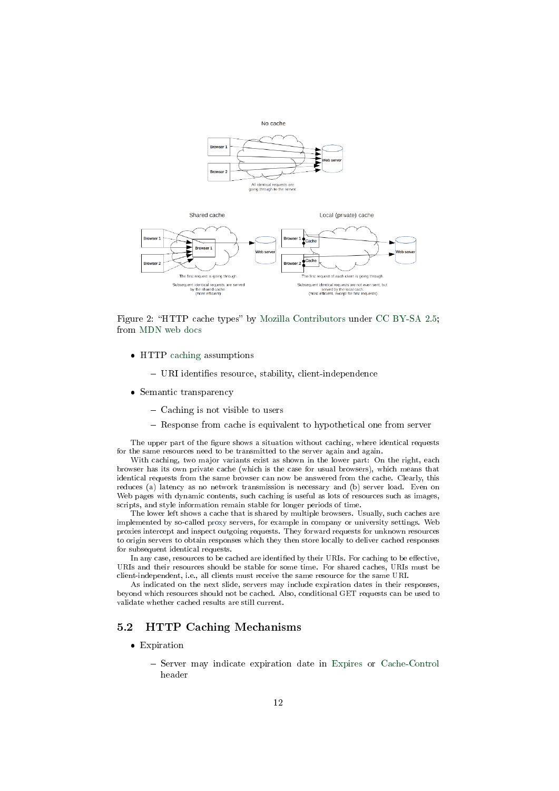



Figure 2: "HTTP cache types" by [Mozilla Contributors](https://developer.mozilla.org/en-US/docs/Web/HTTP/Caching/contributors.txt) under [CC BY-SA 2.5;](https://creativecommons.org/licenses/by-sa/2.5/) from [MDN web docs](https://mdn.mozillademos.org/files/13777/HTTPCachtType.png)

- HTTP [caching](https://oer.gitlab.io/oer-courses/cacs/Distributed-Systems-Introduction.html#slide-caching) assumptions
	- URI identifies resource, stability, client-independence
- Semantic transparency
	- Caching is not visible to users
	- Response from cache is equivalent to hypothetical one from server

The upper part of the figure shows a situation without caching, where identical requests for the same resources need to be transmitted to the server again and again.

With caching, two major variants exist as shown in the lower part: On the right, each browser has its own private cache (which is the case for usual browsers), which means that identical requests from the same browser can now be answered from the cache. Clearly, this reduces (a) latency as no network transmission is necessary and (b) server load. Even on Web pages with dynamic contents, such caching is useful as lots of resources such as images, scripts, and style information remain stable for longer periods of time.

The lower left shows a cache that is shared by multiple browsers. Usually, such caches are implemented by so-called [proxy](#page-12-1) servers, for example in company or university settings. Web proxies intercept and inspect outgoing requests. They forward requests for unknown resources to origin servers to obtain responses which they then store locally to deliver cached responses for subsequent identical requests.

In any case, resources to be cached are identified by their URIs. For caching to be effective, URIs and their resources should be stable for some time. For shared caches, URIs must be client-independent, i.e., all clients must receive the same resource for the same URI.

As indicated on the next slide, servers may include expiration dates in their responses, beyond which resources should not be cached. Also, conditional GET requests can be used to validate whether cached results are still current.

#### 5.2 HTTP Caching Mechanisms

- Expiration
	- Server may indicate expiration date in [Expires](https://developer.mozilla.org/en-US/docs/Web/HTTP/Headers/Expires) or [Cache-Control](https://developer.mozilla.org/en-US/docs/Web/HTTP/Headers/Cache-Control) header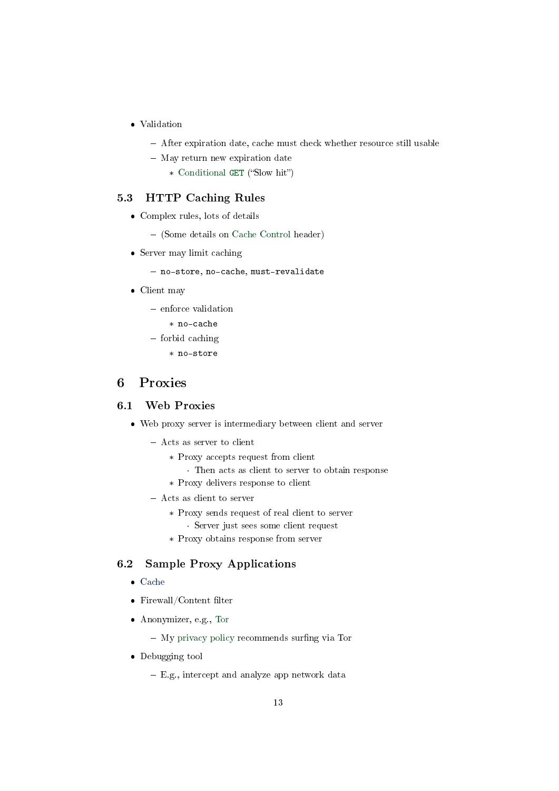- Validation
	- After expiration date, cache must check whether resource still usable
	- May return new expiration date
		- \* [Conditional](https://oer.gitlab.io/oer-courses/cacs/Web-and-E-Mail.html#slide-conditional-get) GET ("Slow hit")

## 5.3 HTTP Caching Rules

- Complex rules, lots of details
	- (Some details on [Cache Control](https://developer.mozilla.org/en-US/docs/Web/HTTP/Headers/Cache-Control) header)
- Server may limit caching
	- no-store, no-cache, must-revalidate
- Client may
	- enforce validation
		- \* no-cache
	- $-$  forbid caching
		- \* no-store

## <span id="page-12-0"></span>6 Proxies

## <span id="page-12-1"></span>6.1 Web Proxies

- Web proxy server is intermediary between client and server
	- Acts as server to client
		- \* Proxy accepts request from client
			- · Then acts as client to server to obtain response
		- \* Proxy delivers response to client
	- Acts as client to server
		- \* Proxy sends request of real client to server
			- · Server just sees some client request
		- \* Proxy obtains response from server

### 6.2 Sample Proxy Applications

- [Cache](#page-10-1)
- $\bullet$  Firewall/Content filter
- Anonymizer, e.g., [Tor](https://www.torproject.org/)
	- $-$  My [privacy policy](https://oer.gitlab.io/privacy.html) recommends surfing via Tor
- Debugging tool
	- E.g., intercept and analyze app network data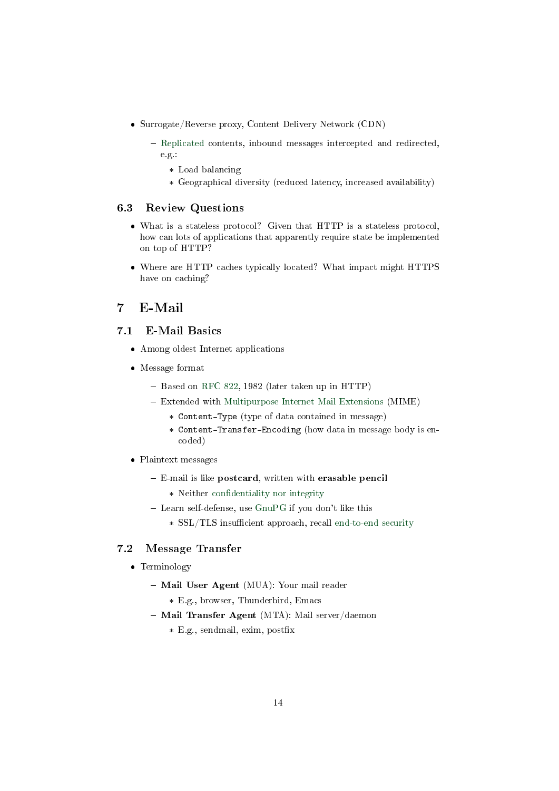- Surrogate/Reverse proxy, Content Delivery Network (CDN)
	- [Replicated](https://oer.gitlab.io/oer-courses/cacs/Distributed-Systems-Introduction.html#slide-replication) contents, inbound messages intercepted and redirected, e.g.:
		- \* Load balancing
		- \* Geographical diversity (reduced latency, increased availability)

#### 6.3 Review Questions

- What is a stateless protocol? Given that HTTP is a stateless protocol, how can lots of applications that apparently require state be implemented on top of HTTP?
- Where are HTTP caches typically located? What impact might HTTPS have on caching?

## <span id="page-13-0"></span>7 E-Mail

## 7.1 E-Mail Basics

- Among oldest Internet applications
- Message format
	- Based on [RFC 822,](https://tools.ietf.org/html/rfc822) 1982 (later taken up in HTTP)
	- Extended with [Multipurpose Internet Mail Extensions](https://en.wikipedia.org/wiki/Multipurpose_Internet_Mail_Extensions) (MIME)
		- \* Content-Type (type of data contained in message)
		- \* Content-Transfer-Encoding (how data in message body is encoded)
- Plaintext messages
	- E-mail is like postcard, written with erasable pencil
		- \* Neither confidentiality nor integrity
	- Learn self-defense, use [GnuPG](https://oer.gitlab.io/OS/Operating-Systems-Security.html#slide-gnupg) if you don't like this
		- \* SSL/TLS insufficient approach, recall [end-to-end security](https://oer.gitlab.io/oer-courses/cacs/Internet.html#slide-end-to-end-security)

## 7.2 Message Transfer

- Terminology
	- Mail User Agent (MUA): Your mail reader
		- \* E.g., browser, Thunderbird, Emacs
	- Mail Transfer Agent (MTA): Mail server/daemon
		- \* E.g., sendmail, exim, postfix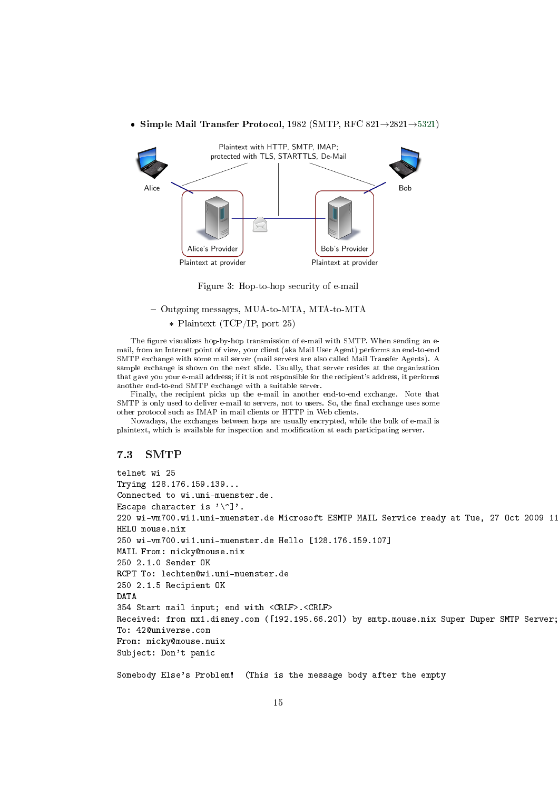

• Simple Mail Transfer Protocol, 1982 (SMTP, RFC 821 $\rightarrow$ 2821 $\rightarrow$ [5321\)](https://tools.ietf.org/html/rfc5321)

Figure 3: Hop-to-hop security of e-mail

#### - Outgoing messages, MUA-to-MTA, MTA-to-MTA

#### \* Plaintext (TCP/IP, port 25)

The figure visualizes hop-by-hop transmission of e-mail with SMTP. When sending an email, from an Internet point of view, your client (aka Mail User Agent) performs an end-to-end SMTP exchange with some mail server (mail servers are also called Mail Transfer Agents). A sample exchange is shown on the next slide. Usually, that server resides at the organization that gave you your e-mail address; if it is not responsible for the recipient's address, it performs another end-to-end SMTP exchange with a suitable server.

Finally, the recipient picks up the e-mail in another end-to-end exchange. Note that SMTP is only used to deliver e-mail to servers, not to users. So, the final exchange uses some other protocol such as IMAP in mail clients or HTTP in Web clients.

Nowadays, the exchanges between hops are usually encrypted, while the bulk of e-mail is plaintext, which is available for inspection and modification at each participating server.

#### 7.3 SMTP

telnet wi 25 Trying 128.176.159.139... Connected to wi.uni-muenster.de. Escape character is  $'\$ ]. 220 wi-vm700.wi1.uni-muenster.de Microsoft ESMTP MAIL Service ready at Tue, 27 Oct 2009 11 HELO mouse.nix 250 wi-vm700.wi1.uni-muenster.de Hello [128.176.159.107] MAIL From: micky@mouse.nix 250 2.1.0 Sender OK RCPT To: lechten@wi.uni-muenster.de 250 2.1.5 Recipient OK DATA 354 Start mail input; end with <CRLF>.<CRLF> Received: from mx1.disney.com ([192.195.66.20]) by smtp.mouse.nix Super Duper SMTP Server; To: 42@universe.com From: micky@mouse.nuix Subject: Don't panic Somebody Else's Problem! (This is the message body after the empty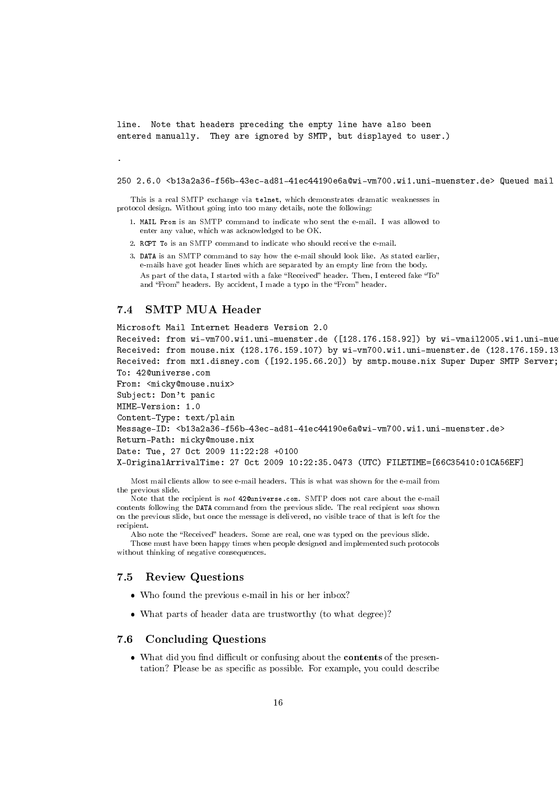line. Note that headers preceding the empty line have also been entered manually. They are ignored by SMTP, but displayed to user.)

250 2.6.0 <b13a2a36-f56b-43ec-ad81-41ec44190e6a@wi-vm700.wi1.uni-muenster.de> Queued mail

This is a real SMTP exchange via telnet, which demonstrates dramatic weaknesses in protocol design. Without going into too many details, note the following:

- 1. MAIL From is an SMTP command to indicate who sent the e-mail. I was allowed to enter any value, which was acknowledged to be OK.
- 2. RCPT To is an SMTP command to indicate who should receive the e-mail.
- 3. DATA is an SMTP command to say how the e-mail should look like. As stated earlier, e-mails have got header lines which are separated by an empty line from the body. As part of the data, I started with a fake "Received" header. Then, I entered fake "To" and "From" headers. By accident, I made a typo in the "From" header.

## 7.4 SMTP MUA Header

Microsoft Mail Internet Headers Version 2.0

Received: from wi-vm700.wi1.uni-muenster.de ([128.176.158.92]) by wi-vmail2005.wi1.uni-mue Received: from mouse.nix (128.176.159.107) by wi-vm700.wi1.uni-muenster.de (128.176.159.13 Received: from mx1.disney.com ([192.195.66.20]) by smtp.mouse.nix Super Duper SMTP Server; To: 42@universe.com

```
From: <micky@mouse.nuix>
```
Subject: Don't panic

.

MIME-Version: 1.0

Content-Type: text/plain

Message-ID: <b13a2a36-f56b-43ec-ad81-41ec44190e6a@wi-vm700.wi1.uni-muenster.de>

Return-Path: micky@mouse.nix

Date: Tue, 27 Oct 2009 11:22:28 +0100

X-OriginalArrivalTime: 27 Oct 2009 10:22:35.0473 (UTC) FILETIME=[66C35410:01CA56EF]

Most mail clients allow to see e-mail headers. This is what was shown for the e-mail from the previous slide.

Note that the recipient is not 42@universe.com. SMTP does not care about the e-mail contents following the DATA command from the previous slide. The real recipient was shown on the previous slide, but once the message is delivered, no visible trace of that is left for the recipient.

Also note the "Received" headers. Some are real, one was typed on the previous slide.

Those must have been happy times when people designed and implemented such protocols without thinking of negative consequences.

#### 7.5 Review Questions

- Who found the previous e-mail in his or her inbox?
- What parts of header data are trustworthy (to what degree)?

### 7.6 Concluding Questions

• What did you find difficult or confusing about the **contents** of the presentation? Please be as specific as possible. For example, you could describe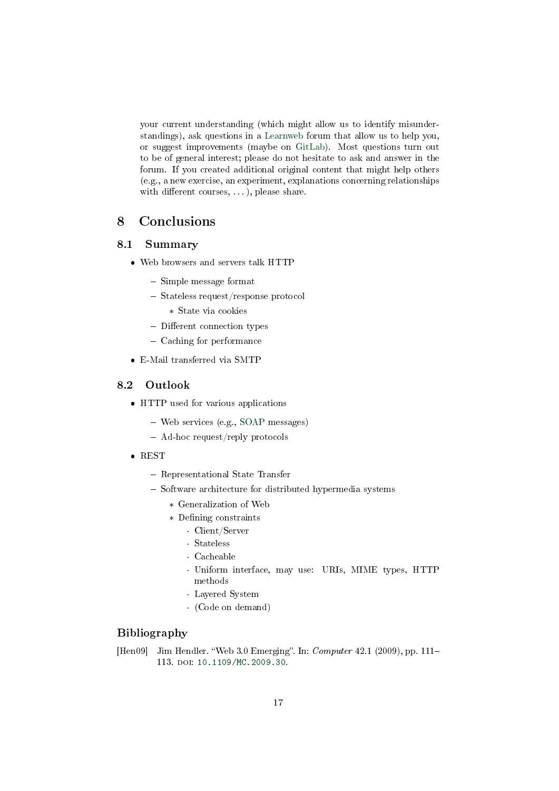your current understanding (which might allow us to identify misunderstandings), ask questions in a [Learnweb](https://sso.uni-muenster.de/LearnWeb/learnweb2/course/view.php?id=51305) forum that allow us to help you, or suggest improvements (maybe on [GitLab\)](https://gitlab.com/oer/oer-courses/cacs/). Most questions turn out to be of general interest; please do not hesitate to ask and answer in the forum. If you created additional original content that might help others (e.g., a new exercise, an experiment, explanations concerning relationships with different courses,  $\ldots$ , please share.

## <span id="page-16-0"></span>8 Conclusions

## 8.1 Summary

- Web browsers and servers talk HTTP
	- $-$  Simple message format
	- Stateless request/response protocol
		- \* State via cookies
	- $-$  Different connection types
	- Caching for performance
- E-Mail transferred via SMTP

### 8.2 Outlook

- HTTP used for various applications
	- Web services (e.g., [SOAP](https://en.wikipedia.org/wiki/SOAP) messages)
	- Ad-hoc request/reply protocols
- REST
	- Representational State Transfer
	- Software architecture for distributed hypermedia systems
		- \* Generalization of Web
		- \* Defining constraints
			- · Client/Server
			- · Stateless
			- · Cacheable
			- · Uniform interface, may use: URIs, MIME types, HTTP methods
			- · Layered System
			- · (Code on demand)

## Bibliography

<span id="page-16-1"></span>[Hen09] Jim Hendler. "Web  $3.0$  Emerging". In: *Computer*  $42.1$  (2009), pp. 111– 113. doi: [10.1109/MC.2009.30.](https://doi.org/10.1109/MC.2009.30)